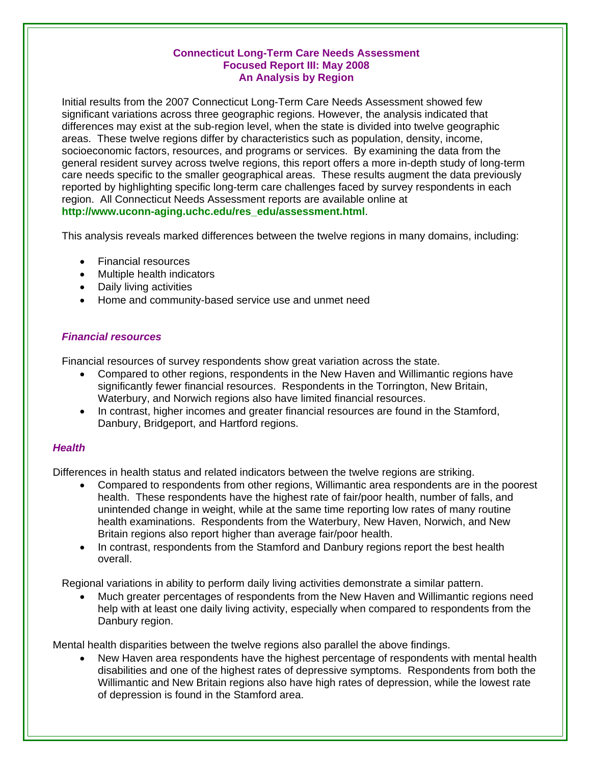### **Connecticut Long-Term Care Needs Assessment Focused Report III: May 2008 An Analysis by Region**

Initial results from the 2007 Connecticut Long-Term Care Needs Assessment showed few significant variations across three geographic regions. However, the analysis indicated that differences may exist at the sub-region level, when the state is divided into twelve geographic areas. These twelve regions differ by characteristics such as population, density, income, socioeconomic factors, resources, and programs or services. By examining the data from the general resident survey across twelve regions, this report offers a more in-depth study of long-term care needs specific to the smaller geographical areas. These results augment the data previously reported by highlighting specific long-term care challenges faced by survey respondents in each region. All Connecticut Needs Assessment reports are available online at **[http://www.uconn-aging.uchc.edu/res\\_edu/assessment.html](http://www.uconn-aging.uchc.edu/res_edu/assessment.html)**.

This analysis reveals marked differences between the twelve regions in many domains, including:

- Financial resources
- Multiple health indicators
- Daily living activities
- Home and community-based service use and unmet need

# *Financial resources*

Financial resources of survey respondents show great variation across the state.

- Compared to other regions, respondents in the New Haven and Willimantic regions have significantly fewer financial resources. Respondents in the Torrington, New Britain, Waterbury, and Norwich regions also have limited financial resources.
- In contrast, higher incomes and greater financial resources are found in the Stamford, Danbury, Bridgeport, and Hartford regions.

## *Health*

Differences in health status and related indicators between the twelve regions are striking.

- Compared to respondents from other regions, Willimantic area respondents are in the poorest health. These respondents have the highest rate of fair/poor health, number of falls, and unintended change in weight, while at the same time reporting low rates of many routine health examinations. Respondents from the Waterbury, New Haven, Norwich, and New Britain regions also report higher than average fair/poor health.
- In contrast, respondents from the Stamford and Danbury regions report the best health overall.

Regional variations in ability to perform daily living activities demonstrate a similar pattern.

• Much greater percentages of respondents from the New Haven and Willimantic regions need help with at least one daily living activity, especially when compared to respondents from the Danbury region.

Mental health disparities between the twelve regions also parallel the above findings.

• New Haven area respondents have the highest percentage of respondents with mental health disabilities and one of the highest rates of depressive symptoms. Respondents from both the Willimantic and New Britain regions also have high rates of depression, while the lowest rate of depression is found in the Stamford area.